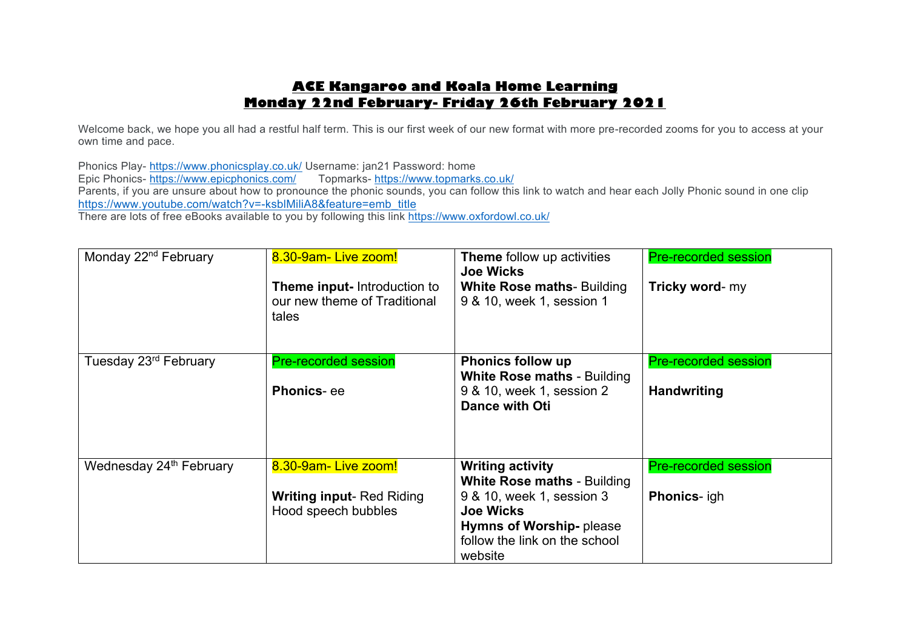# **ACE Kangaroo and Koala Home Learning Monday 22nd February- Friday 26th February 2021**

Welcome back, we hope you all had a restful half term. This is our first week of our new format with more pre-recorded zooms for you to access at your own time and pace.

Phonics Play- https://www.phonicsplay.co.uk/ Username: jan21 Password: home Epic Phonics- https://www.epicphonics.com/ Parents, if you are unsure about how to pronounce the phonic sounds, you can follow this link to watch and hear each Jolly Phonic sound in one clip https://www.youtube.com/watch?v=-ksblMiliA8&feature=emb\_title There are lots of free eBooks available to you by following this link https://www.oxfordowl.co.uk/

| Monday 22 <sup>nd</sup> February    | 8.30-9am-Live zoom!                                                          | <b>Theme</b> follow up activities<br><b>Joe Wicks</b>                      | <b>Pre-recorded session</b> |
|-------------------------------------|------------------------------------------------------------------------------|----------------------------------------------------------------------------|-----------------------------|
|                                     | <b>Theme input-</b> Introduction to<br>our new theme of Traditional<br>tales | <b>White Rose maths- Building</b><br>9 & 10, week 1, session 1             | Tricky word- my             |
| Tuesday 23rd February               | <b>Pre-recorded session</b>                                                  | <b>Phonics follow up</b><br><b>White Rose maths - Building</b>             | <b>Pre-recorded session</b> |
|                                     | <b>Phonics-ee</b>                                                            | 9 & 10, week 1, session 2<br><b>Dance with Oti</b>                         | <b>Handwriting</b>          |
| Wednesday 24 <sup>th</sup> February | 8.30-9am- Live zoom!                                                         | <b>Writing activity</b><br><b>White Rose maths - Building</b>              | <b>Pre-recorded session</b> |
|                                     | <b>Writing input-Red Riding</b><br>Hood speech bubbles                       | 9 & 10, week 1, session 3<br><b>Joe Wicks</b>                              | <b>Phonics-</b> igh         |
|                                     |                                                                              | <b>Hymns of Worship-please</b><br>follow the link on the school<br>website |                             |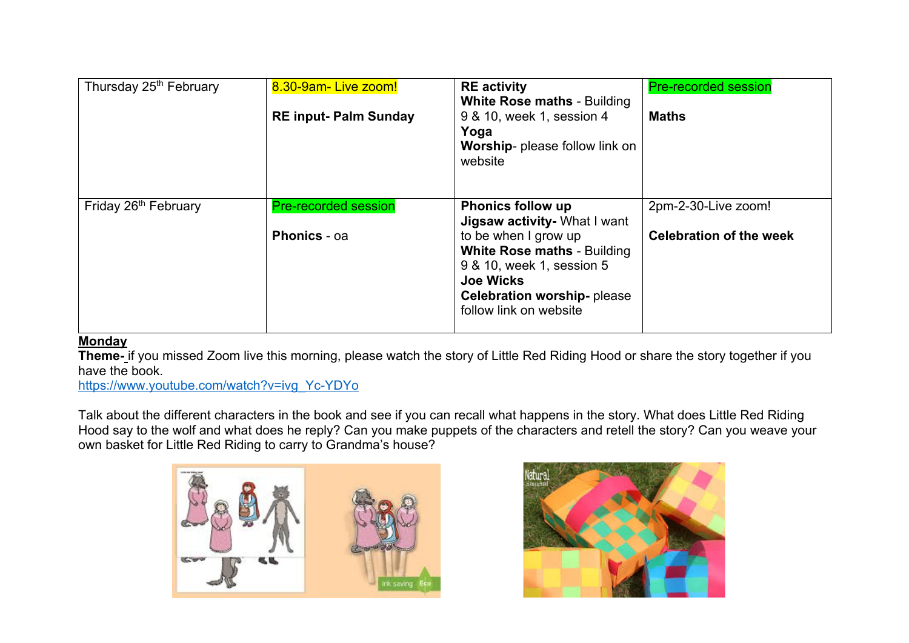| Thursday 25 <sup>th</sup> February | 8.30-9am-Live zoom!<br><b>RE input- Palm Sunday</b> | <b>RE</b> activity<br><b>White Rose maths - Building</b><br>9 & 10, week 1, session 4<br>Yoga<br>Worship- please follow link on<br>website                                                                                             | <b>Pre-recorded session</b><br><b>Maths</b>           |
|------------------------------------|-----------------------------------------------------|----------------------------------------------------------------------------------------------------------------------------------------------------------------------------------------------------------------------------------------|-------------------------------------------------------|
| Friday 26 <sup>th</sup> February   | <b>Pre-recorded session</b><br><b>Phonics - oa</b>  | <b>Phonics follow up</b><br>Jigsaw activity- What I want<br>to be when I grow up<br><b>White Rose maths - Building</b><br>9 & 10, week 1, session 5<br><b>Joe Wicks</b><br><b>Celebration worship-please</b><br>follow link on website | 2pm-2-30-Live zoom!<br><b>Celebration of the week</b> |

## **Monday**

**Theme-** if you missed Zoom live this morning, please watch the story of Little Red Riding Hood or share the story together if you have the book.

https://www.youtube.com/watch?v=ivg\_Yc-YDYo

Talk about the different characters in the book and see if you can recall what happens in the story. What does Little Red Riding Hood say to the wolf and what does he reply? Can you make puppets of the characters and retell the story? Can you weave your own basket for Little Red Riding to carry to Grandma's house?



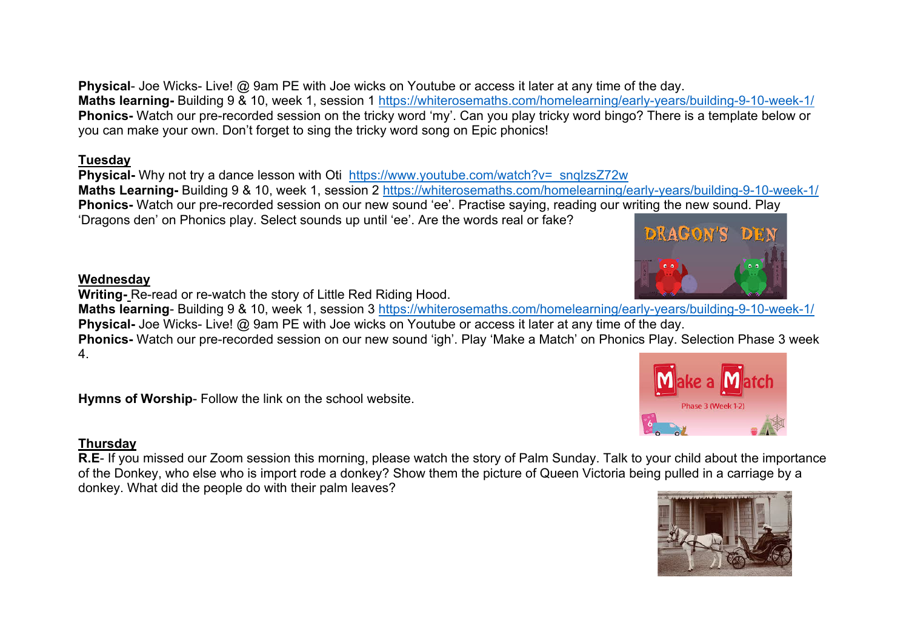**Physical-** Joe Wicks- Live! @ 9am PE with Joe wicks on Youtube or access it later at any time of the day. **Maths learning-** Building 9 & 10, week 1, session 1 https://whiterosemaths.com/homelearning/early-years/building-9-10-week-1/ **Phonics-** Watch our pre-recorded session on the tricky word 'my'. Can you play tricky word bingo? There is a template below or you can make your own. Don't forget to sing the tricky word song on Epic phonics!

## **Tuesday**

**Physical-** Why not try a dance lesson with Oti https://www.youtube.com/watch?v= snglzsZ72w **Maths Learning-** Building 9 & 10, week 1, session 2 https://whiterosemaths.com/homelearning/early-years/building-9-10-week-1/ **Phonics-** Watch our pre-recorded session on our new sound 'ee'. Practise saying, reading our writing the new sound. Play 'Dragons den' on Phonics play. Select sounds up until 'ee'. Are the words real or fake?

# **Wednesday**

**Writing-** Re-read or re-watch the story of Little Red Riding Hood.

**Maths learning**- Building 9 & 10, week 1, session 3 https://whiterosemaths.com/homelearning/early-years/building-9-10-week-1/ **Physical-** Joe Wicks- Live! @ 9am PE with Joe wicks on Youtube or access it later at any time of the day.

**Phonics-** Watch our pre-recorded session on our new sound 'igh'. Play 'Make a Match' on Phonics Play. Selection Phase 3 week 4.

**Hymns of Worship**- Follow the link on the school website.

# **Thursday**

**R.E**- If you missed our Zoom session this morning, please watch the story of Palm Sunday. Talk to your child about the importance of the Donkey, who else who is import rode a donkey? Show them the picture of Queen Victoria being pulled in a carriage by a donkey. What did the people do with their palm leaves?





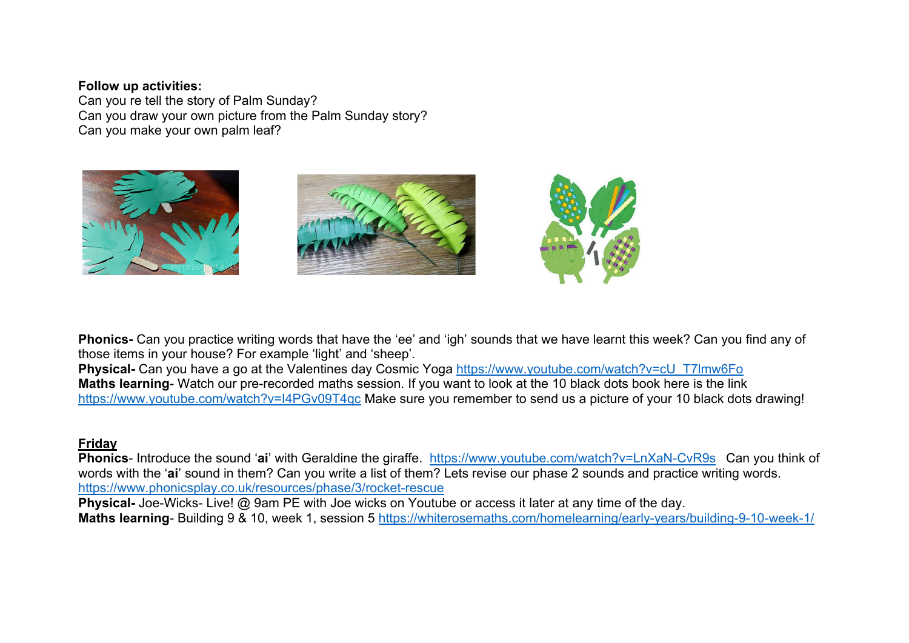#### **Follow up activities:**

Can you re tell the story of Palm Sunday? Can you draw your own picture from the Palm Sunday story? Can you make your own palm leaf?



**Phonics-** Can you practice writing words that have the 'ee' and 'igh' sounds that we have learnt this week? Can you find any of those items in your house? For example 'light' and 'sheep'.

**Physical-** Can you have a go at the Valentines day Cosmic Yoga https://www.youtube.com/watch?v=cU\_T7lmw6Fo **Maths learning**- Watch our pre-recorded maths session. If you want to look at the 10 black dots book here is the link https://www.youtube.com/watch?v=I4PGv09T4qc Make sure you remember to send us a picture of your 10 black dots drawing!

## **Friday**

**Phonics**- Introduce the sound '**ai**' with Geraldine the giraffe. https://www.youtube.com/watch?v=LnXaN-CvR9s Can you think of words with the '**ai**' sound in them? Can you write a list of them? Lets revise our phase 2 sounds and practice writing words. https://www.phonicsplay.co.uk/resources/phase/3/rocket-rescue

**Physical-** Joe-Wicks- Live! @ 9am PE with Joe wicks on Youtube or access it later at any time of the day.

**Maths learning**- Building 9 & 10, week 1, session 5 https://whiterosemaths.com/homelearning/early-years/building-9-10-week-1/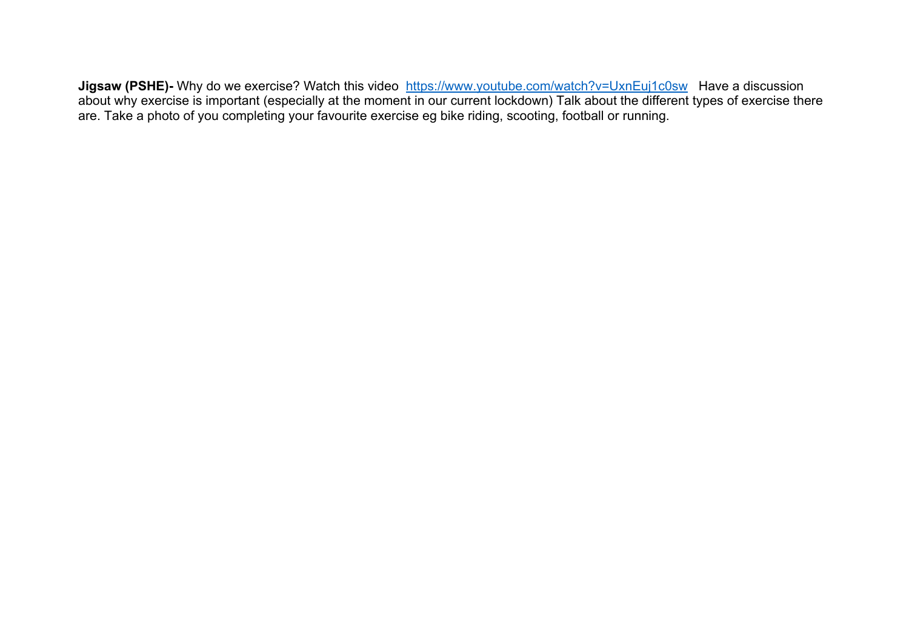**Jigsaw (PSHE)-** Why do we exercise? Watch this video https://www.youtube.com/watch?v=UxnEuj1c0sw Have a discussion about why exercise is important (especially at the moment in our current lockdown) Talk about the different types of exercise there are. Take a photo of you completing your favourite exercise eg bike riding, scooting, football or running.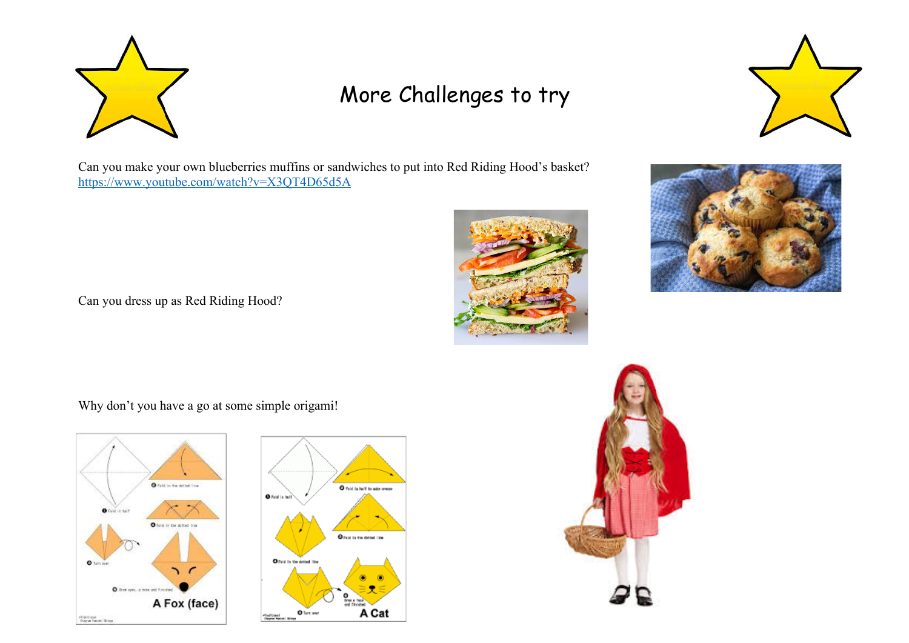

# More Challenges to try



Can you make your own blueberries muffins or sandwiches to put into Red Riding Hood's basket? https://www.youtube.com/watch?v=X3QT4D65d5A





Can you dress up as Red Riding Hood?

Why don't you have a go at some simple origami!





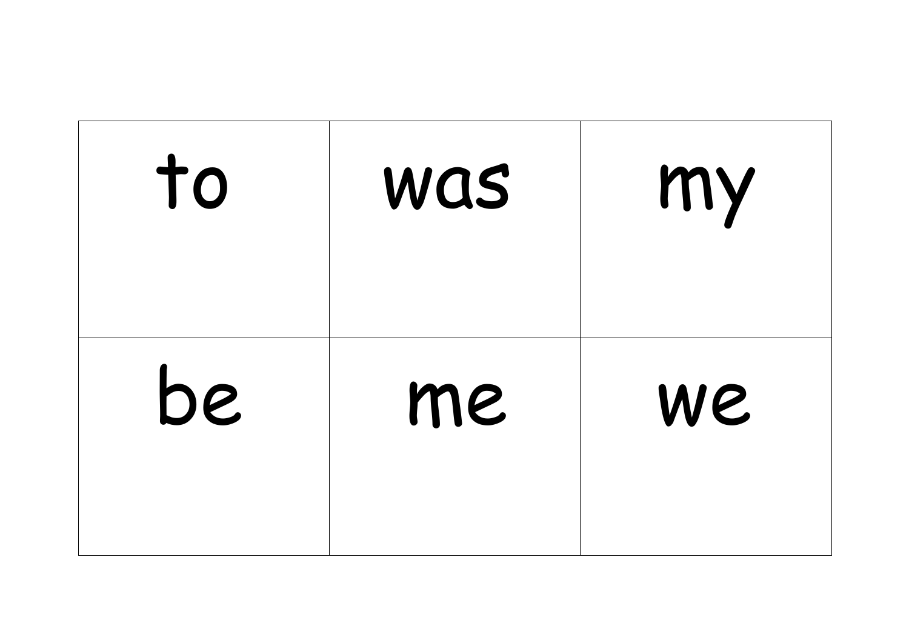| to | WQS | my |
|----|-----|----|
| be | me  | We |